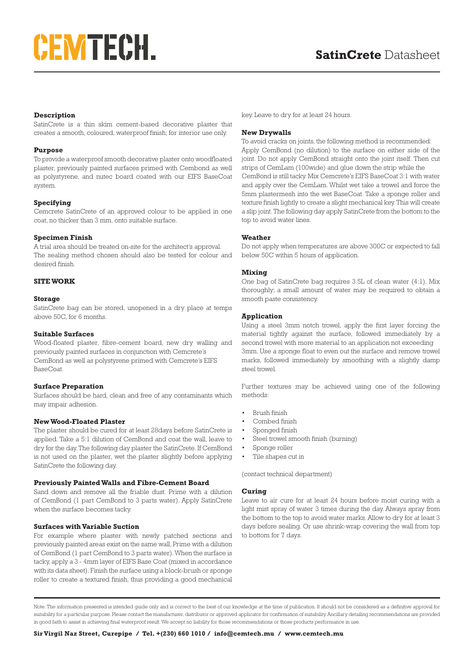# CEMTECH.

#### **Description**

SatinCrete is a thin skim cement-based decorative plaster that creates a smooth, coloured, waterproof finish; for interior use only.

#### **Purpose**

To provide a waterproof smooth decorative plaster onto woodfloated plaster, previously painted surfaces primed with Cembond as well as polystyrene, and nutec board coated with our EIFS BaseCoat system.

#### **Specifying**

Cemcrete SatinCrete of an approved colour to be applied in one coat, no thicker than 3 mm, onto suitable surface.

#### **Specimen Finish**

A trial area should be treated on-site for the architect's approval. The sealing method chosen should also be tested for colour and desired finish.

#### **SITE WORK**

#### **Storage**

SatinCrete bag can be stored, unopened in a dry place at temps above 50C, for 6 months.

#### **Suitable Surfaces**

Wood-floated plaster, fibre-cement board, new dry walling and previously painted surfaces in conjunction with Cemcrete's CemBond as well as polystyrene primed with Cemcrete's EIFS BaseCoat.

#### **Surface Preparation**

Surfaces should be hard, clean and free of any contaminants which may impair adhesion.

#### **New Wood-Floated Plaster**

The plaster should be cured for at least 28days before SatinCrete is applied. Take a 5:1 dilution of CemBond and coat the wall, leave to dry for the day. The following day plaster the SatinCrete. If CemBond is not used on the plaster, wet the plaster slightly before applying SatinCrete the following day.

## **Previously Painted Walls and Fibre-Cement Board**

Sand down and remove all the friable dust. Prime with a dilution of CemBond (1 part CemBond to 3 parts water). Apply SatinCrete when the surface becomes tacky.

#### **Surfaces with Variable Suction**

For example where plaster with newly patched sections and previously painted areas exist on the same wall, Prime with a dilution of CemBond (1 part CemBond to 3 parts water). When the surface is tacky, apply a 3 - 4mm layer of EIFS Base Coat (mixed in accordance with its data sheet). Finish the surface using a block-brush or sponge roller to create a textured finish, thus providing a good mechanical

key. Leave to dry for at least 24 hours.

#### **New Drywalls**

To avoid cracks on joints, the following method is recommended: Apply CemBond (no dilution) to the surface on either side of the joint. Do not apply CemBond straight onto the joint itself. Then cut strips of CemLam (100wide) and glue down the strip while the CemBond is still tacky. Mix Cemcrete's EIFS BaseCoat 3:1 with water and apply over the CemLam. Whilst wet take a trowel and force the 5mm plastermesh into the wet BaseCoat. Take a sponge roller and texture finish lightly to create a slight mechanical key. This will create a slip joint. The following day apply SatinCrete from the bottom to the top to avoid water lines.

#### **Weather**

Do not apply when temperatures are above 300C or expected to fall below 50C within 5 hours of application.

#### **Mixing**

One bag of SatinCrete bag requires 3.5L of clean water (4:1). Mix thoroughly; a small amount of water may be required to obtain a smooth paste consistency.

#### **Application**

Using a steel 3mm notch trowel, apply the first layer forcing the material tightly against the surface, followed immediately by a second trowel with more material to an application not exceeding 3mm. Use a sponge float to even out the surface and remove trowel marks, followed immediately by smoothing with a slightly damp steel trowel.

Further textures may be achieved using one of the following methods:

- Brush finish
- Combed finish
- Sponged finish
- Steel trowel smooth finish (burning)
- Sponge roller
- Tile shapes cut in

(contact technical department)

#### **Curing**

Leave to air cure for at least 24 hours before moist curing with a light mist spray of water 3 times during the day. Always spray from the bottom to the top to avoid water marks. Allow to dry for at least 3 days before sealing. Or use shrink-wrap covering the wall from top to bottom for 7 days.

Note: The information presented is intended guide only and is correct to the best of our knowledge at the time of publication. It should not be considered as a definitive approval for suitability for a particular purpose. Please contact the manufacturer, distributor or approved applicator for confirmation of suitability. Ancillary detailing recommendations are provided in good faith to assist in achieving final waterproof result. We accept no liability for those recommendations or those products performance in use.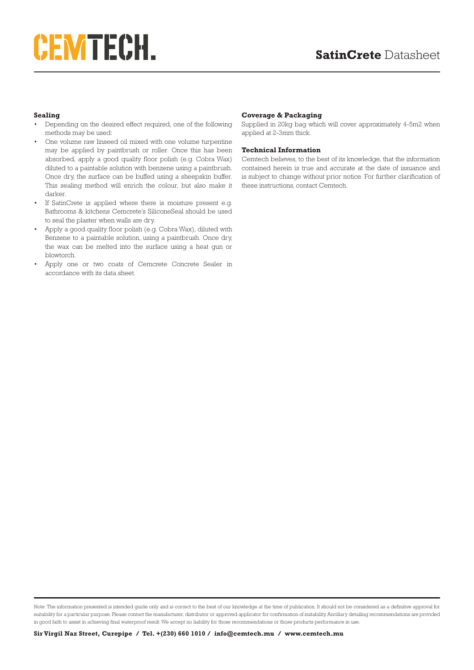# CEMTECH.

### **Sealing**

- Depending on the desired effect required, one of the following methods may be used:
- One volume raw linseed oil mixed with one volume turpentine may be applied by paintbrush or roller. Once this has been absorbed, apply a good quality floor polish (e.g. Cobra Wax) diluted to a paintable solution with benzene using a paintbrush. Once dry, the surface can be buffed using a sheepskin buffer. This sealing method will enrich the colour, but also make it darker.
- If SatinCrete is applied where there is moisture present e.g. Bathrooms & kitchens Cemcrete's SiliconeSeal should be used to seal the plaster when walls are dry.
- Apply a good quality floor polish (e.g. Cobra Wax), diluted with Benzene to a paintable solution, using a paintbrush. Once dry, the wax can be melted into the surface using a heat gun or blowtorch.
- Apply one or two coats of Cemcrete Concrete Sealer in accordance with its data sheet.

### **Coverage & Packaging**

Supplied in 20kg bag which will cover approximately 4-5m2 when applied at 2-3mm thick.

#### **Technical Information**

Cemtech believes, to the best of its knowledge, that the information contained herein is true and accurate at the date of issuance and is subject to change without prior notice. For further clarification of these instructions, contact Cemtech.

Note: The information presented is intended guide only and is correct to the best of our knowledge at the time of publication. It should not be considered as a definitive approval for suitability for a particular purpose. Please contact the manufacturer, distributor or approved applicator for confirmation of suitability. Ancillary detailing recommendations are provided in good faith to assist in achieving final waterproof result. We accept no liability for those recommendations or those products performance in use.